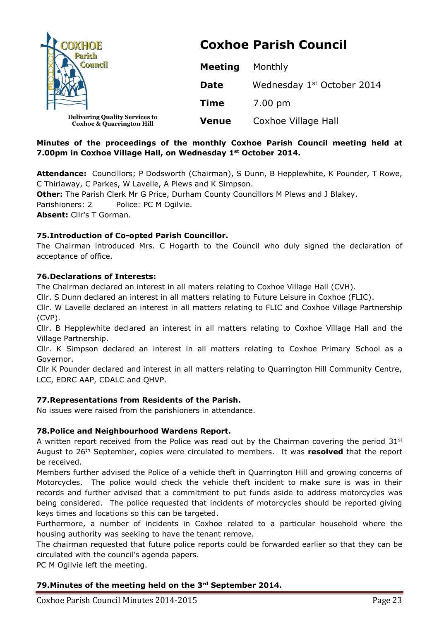| <b>OXHOE</b><br><b>Council</b>                                                | <b>Coxhoe Parish Council</b> |                                        |  |
|-------------------------------------------------------------------------------|------------------------------|----------------------------------------|--|
|                                                                               | <b>Meeting</b>               | Monthly                                |  |
|                                                                               | <b>Date</b>                  | Wednesday 1 <sup>st</sup> October 2014 |  |
|                                                                               | <b>Time</b>                  | 7.00 pm                                |  |
| <b>Delivering Quality Services to</b><br><b>Coxhoe &amp; Quarrington Hill</b> | <b>Venue</b>                 | Coxhoe Village Hall                    |  |

## **Minutes of the proceedings of the monthly Coxhoe Parish Council meeting held at 7.00pm in Coxhoe Village Hall, on Wednesday 1st October 2014.**

**Attendance:** Councillors; P Dodsworth (Chairman), S Dunn, B Hepplewhite, K Pounder, T Rowe, C Thirlaway, C Parkes, W Lavelle, A Plews and K Simpson.

**Other:** The Parish Clerk Mr G Price, Durham County Councillors M Plews and J Blakey.

Parishioners: 2 Police: PC M Ogilvie.

**Absent:** Cllr's T Gorman.

# **75.Introduction of Co-opted Parish Councillor.**

The Chairman introduced Mrs. C Hogarth to the Council who duly signed the declaration of acceptance of office.

## **76.Declarations of Interests:**

The Chairman declared an interest in all maters relating to Coxhoe Village Hall (CVH).

Cllr. S Dunn declared an interest in all matters relating to Future Leisure in Coxhoe (FLIC).

Cllr. W Lavelle declared an interest in all matters relating to FLIC and Coxhoe Village Partnership (CVP).

Cllr. B Hepplewhite declared an interest in all matters relating to Coxhoe Village Hall and the Village Partnership.

Cllr. K Simpson declared an interest in all matters relating to Coxhoe Primary School as a Governor.

Cllr K Pounder declared and interest in all matters relating to Quarrington Hill Community Centre, LCC, EDRC AAP, CDALC and QHVP.

# **77.Representations from Residents of the Parish.**

No issues were raised from the parishioners in attendance.

## **78.Police and Neighbourhood Wardens Report.**

A written report received from the Police was read out by the Chairman covering the period 31<sup>st</sup> August to 26th September, copies were circulated to members. It was **resolved** that the report be received.

Members further advised the Police of a vehicle theft in Quarrington Hill and growing concerns of Motorcycles. The police would check the vehicle theft incident to make sure is was in their records and further advised that a commitment to put funds aside to address motorcycles was being considered. The police requested that incidents of motorcycles should be reported giving keys times and locations so this can be targeted.

Furthermore, a number of incidents in Coxhoe related to a particular household where the housing authority was seeking to have the tenant remove.

The chairman requested that future police reports could be forwarded earlier so that they can be circulated with the council's agenda papers.

PC M Ogilvie left the meeting.

## **79.Minutes of the meeting held on the 3rd September 2014.**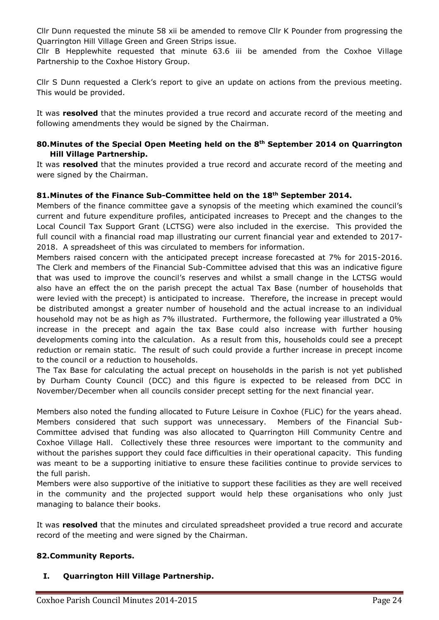Cllr Dunn requested the minute 58 xii be amended to remove Cllr K Pounder from progressing the Quarrington Hill Village Green and Green Strips issue.

Cllr B Hepplewhite requested that minute 63.6 iii be amended from the Coxhoe Village Partnership to the Coxhoe History Group.

Cllr S Dunn requested a Clerk's report to give an update on actions from the previous meeting. This would be provided.

It was **resolved** that the minutes provided a true record and accurate record of the meeting and following amendments they would be signed by the Chairman.

## **80.Minutes of the Special Open Meeting held on the 8th September 2014 on Quarrington Hill Village Partnership.**

It was **resolved** that the minutes provided a true record and accurate record of the meeting and were signed by the Chairman.

## **81.Minutes of the Finance Sub-Committee held on the 18th September 2014.**

Members of the finance committee gave a synopsis of the meeting which examined the council's current and future expenditure profiles, anticipated increases to Precept and the changes to the Local Council Tax Support Grant (LCTSG) were also included in the exercise. This provided the full council with a financial road map illustrating our current financial year and extended to 2017- 2018. A spreadsheet of this was circulated to members for information.

Members raised concern with the anticipated precept increase forecasted at 7% for 2015-2016. The Clerk and members of the Financial Sub-Committee advised that this was an indicative figure that was used to improve the council's reserves and whilst a small change in the LCTSG would also have an effect the on the parish precept the actual Tax Base (number of households that were levied with the precept) is anticipated to increase. Therefore, the increase in precept would be distributed amongst a greater number of household and the actual increase to an individual household may not be as high as 7% illustrated. Furthermore, the following year illustrated a 0% increase in the precept and again the tax Base could also increase with further housing developments coming into the calculation. As a result from this, households could see a precept reduction or remain static. The result of such could provide a further increase in precept income to the council or a reduction to households.

The Tax Base for calculating the actual precept on households in the parish is not yet published by Durham County Council (DCC) and this figure is expected to be released from DCC in November/December when all councils consider precept setting for the next financial year.

Members also noted the funding allocated to Future Leisure in Coxhoe (FLiC) for the years ahead. Members considered that such support was unnecessary. Members of the Financial Sub-Committee advised that funding was also allocated to Quarrington Hill Community Centre and Coxhoe Village Hall. Collectively these three resources were important to the community and without the parishes support they could face difficulties in their operational capacity. This funding was meant to be a supporting initiative to ensure these facilities continue to provide services to the full parish.

Members were also supportive of the initiative to support these facilities as they are well received in the community and the projected support would help these organisations who only just managing to balance their books.

It was **resolved** that the minutes and circulated spreadsheet provided a true record and accurate record of the meeting and were signed by the Chairman.

## **82.Community Reports.**

## **I. Quarrington Hill Village Partnership.**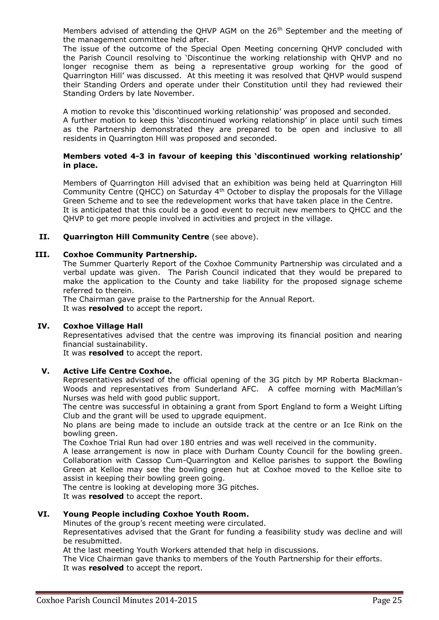Members advised of attending the QHVP AGM on the  $26<sup>th</sup>$  September and the meeting of the management committee held after.

The issue of the outcome of the Special Open Meeting concerning QHVP concluded with the Parish Council resolving to 'Discontinue the working relationship with QHVP and no longer recognise them as being a representative group working for the good of Quarrington Hill' was discussed. At this meeting it was resolved that QHVP would suspend their Standing Orders and operate under their Constitution until they had reviewed their Standing Orders by late November.

A motion to revoke this 'discontinued working relationship' was proposed and seconded. A further motion to keep this 'discontinued working relationship' in place until such times as the Partnership demonstrated they are prepared to be open and inclusive to all residents in Quarrington Hill was proposed and seconded.

#### **Members voted 4-3 in favour of keeping this 'discontinued working relationship' in place.**

Members of Quarrington Hill advised that an exhibition was being held at Quarrington Hill Community Centre (OHCC) on Saturday  $4<sup>th</sup>$  October to display the proposals for the Village Green Scheme and to see the redevelopment works that have taken place in the Centre. It is anticipated that this could be a good event to recruit new members to QHCC and the QHVP to get more people involved in activities and project in the village.

### **II. Quarrington Hill Community Centre** (see above).

#### **III. Coxhoe Community Partnership.**

The Summer Quarterly Report of the Coxhoe Community Partnership was circulated and a verbal update was given. The Parish Council indicated that they would be prepared to make the application to the County and take liability for the proposed signage scheme referred to therein.

The Chairman gave praise to the Partnership for the Annual Report. It was **resolved** to accept the report.

### **IV. Coxhoe Village Hall**

Representatives advised that the centre was improving its financial position and nearing financial sustainability.

It was **resolved** to accept the report.

#### **V. Active Life Centre Coxhoe.**

Representatives advised of the official opening of the 3G pitch by MP Roberta Blackman-Woods and representatives from Sunderland AFC. A coffee morning with MacMillan's Nurses was held with good public support.

The centre was successful in obtaining a grant from Sport England to form a Weight Lifting Club and the grant will be used to upgrade equipment.

No plans are being made to include an outside track at the centre or an Ice Rink on the bowling green.

The Coxhoe Trial Run had over 180 entries and was well received in the community.

A lease arrangement is now in place with Durham County Council for the bowling green. Collaboration with Cassop Cum-Quarrington and Kelloe parishes to support the Bowling Green at Kelloe may see the bowling green hut at Coxhoe moved to the Kelloe site to assist in keeping their bowling green going.

The centre is looking at developing more 3G pitches.

It was **resolved** to accept the report.

### **VI. Young People including Coxhoe Youth Room.**

Minutes of the group's recent meeting were circulated.

Representatives advised that the Grant for funding a feasibility study was decline and will be resubmitted.

At the last meeting Youth Workers attended that help in discussions.

The Vice Chairman gave thanks to members of the Youth Partnership for their efforts. It was **resolved** to accept the report.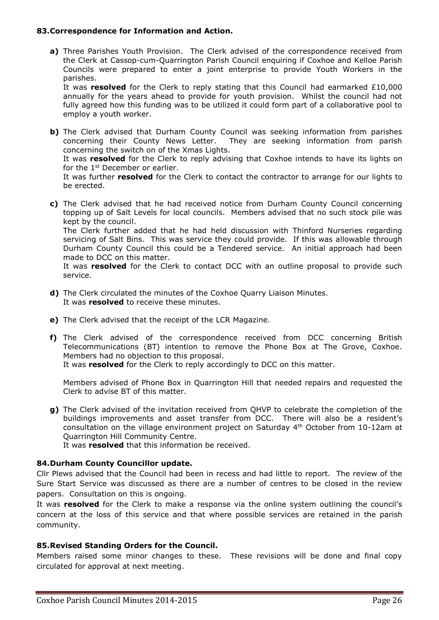### **83.Correspondence for Information and Action.**

**a)** Three Parishes Youth Provision. The Clerk advised of the correspondence received from the Clerk at Cassop-cum-Quarrington Parish Council enquiring if Coxhoe and Kelloe Parish Councils were prepared to enter a joint enterprise to provide Youth Workers in the parishes.

It was **resolved** for the Clerk to reply stating that this Council had earmarked £10,000 annually for the years ahead to provide for youth provision. Whilst the council had not fully agreed how this funding was to be utilized it could form part of a collaborative pool to employ a youth worker.

- **b)** The Clerk advised that Durham County Council was seeking information from parishes concerning their County News Letter. They are seeking information from parish concerning the switch on of the Xmas Lights. It was **resolved** for the Clerk to reply advising that Coxhoe intends to have its lights on for the 1<sup>st</sup> December or earlier. It was further **resolved** for the Clerk to contact the contractor to arrange for our lights to be erected.
- **c)** The Clerk advised that he had received notice from Durham County Council concerning topping up of Salt Levels for local councils. Members advised that no such stock pile was kept by the council. The Clerk further added that he had held discussion with Thinford Nurseries regarding servicing of Salt Bins. This was service they could provide. If this was allowable through Durham County Council this could be a Tendered service. An initial approach had been made to DCC on this matter. It was **resolved** for the Clerk to contact DCC with an outline proposal to provide such service.
- **d)** The Clerk circulated the minutes of the Coxhoe Quarry Liaison Minutes. It was **resolved** to receive these minutes.
- **e)** The Clerk advised that the receipt of the LCR Magazine.
- **f)** The Clerk advised of the correspondence received from DCC concerning British Telecommunications (BT) intention to remove the Phone Box at The Grove, Coxhoe. Members had no objection to this proposal. It was **resolved** for the Clerk to reply accordingly to DCC on this matter.

Members advised of Phone Box in Quarrington Hill that needed repairs and requested the Clerk to advise BT of this matter.

**g)** The Clerk advised of the invitation received from QHVP to celebrate the completion of the buildings improvements and asset transfer from DCC. There will also be a resident's consultation on the village environment project on Saturday 4th October from 10-12am at Quarrington Hill Community Centre.

It was **resolved** that this information be received.

## **84.Durham County Councillor update.**

Cllr Plews advised that the Council had been in recess and had little to report. The review of the Sure Start Service was discussed as there are a number of centres to be closed in the review papers. Consultation on this is ongoing.

It was **resolved** for the Clerk to make a response via the online system outlining the council's concern at the loss of this service and that where possible services are retained in the parish community.

#### **85.Revised Standing Orders for the Council.**

Members raised some minor changes to these. These revisions will be done and final copy circulated for approval at next meeting.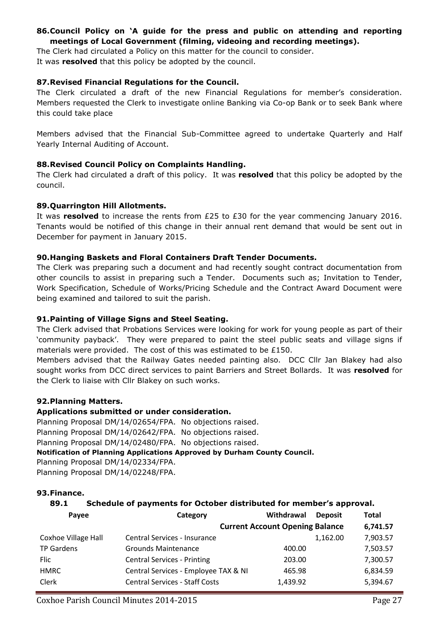## **86.Council Policy on 'A guide for the press and public on attending and reporting meetings of Local Government (filming, videoing and recording meetings).**

The Clerk had circulated a Policy on this matter for the council to consider. It was **resolved** that this policy be adopted by the council.

## **87.Revised Financial Regulations for the Council.**

The Clerk circulated a draft of the new Financial Regulations for member's consideration. Members requested the Clerk to investigate online Banking via Co-op Bank or to seek Bank where this could take place

Members advised that the Financial Sub-Committee agreed to undertake Quarterly and Half Yearly Internal Auditing of Account.

## **88.Revised Council Policy on Complaints Handling.**

The Clerk had circulated a draft of this policy. It was **resolved** that this policy be adopted by the council.

## **89.Quarrington Hill Allotments.**

It was **resolved** to increase the rents from £25 to £30 for the year commencing January 2016. Tenants would be notified of this change in their annual rent demand that would be sent out in December for payment in January 2015.

## **90.Hanging Baskets and Floral Containers Draft Tender Documents.**

The Clerk was preparing such a document and had recently sought contract documentation from other councils to assist in preparing such a Tender. Documents such as; Invitation to Tender, Work Specification, Schedule of Works/Pricing Schedule and the Contract Award Document were being examined and tailored to suit the parish.

# **91.Painting of Village Signs and Steel Seating.**

The Clerk advised that Probations Services were looking for work for young people as part of their 'community payback'. They were prepared to paint the steel public seats and village signs if materials were provided. The cost of this was estimated to be £150.

Members advised that the Railway Gates needed painting also. DCC Cllr Jan Blakey had also sought works from DCC direct services to paint Barriers and Street Bollards. It was **resolved** for the Clerk to liaise with Cllr Blakey on such works.

# **92.Planning Matters.**

## **Applications submitted or under consideration.**

Planning Proposal DM/14/02654/FPA. No objections raised.

Planning Proposal DM/14/02642/FPA. No objections raised. Planning Proposal DM/14/02480/FPA. No objections raised.

# **Notification of Planning Applications Approved by Durham County Council.**

Planning Proposal DM/14/02334/FPA.

Planning Proposal DM/14/02248/FPA.

## **93.Finance.**

# **89.1 Schedule of payments for October distributed for member's approval.**

| Payee               | Category                              | Withdrawal                             | <b>Deposit</b> | <b>Total</b> |
|---------------------|---------------------------------------|----------------------------------------|----------------|--------------|
|                     |                                       | <b>Current Account Opening Balance</b> |                | 6,741.57     |
| Coxhoe Village Hall | Central Services - Insurance          |                                        | 1,162.00       | 7,903.57     |
| <b>TP Gardens</b>   | <b>Grounds Maintenance</b>            | 400.00                                 |                | 7,503.57     |
| Flic                | <b>Central Services - Printing</b>    | 203.00                                 |                | 7,300.57     |
| <b>HMRC</b>         | Central Services - Employee TAX & NI  | 465.98                                 |                | 6,834.59     |
| Clerk               | <b>Central Services - Staff Costs</b> | 1,439.92                               |                | 5,394.67     |